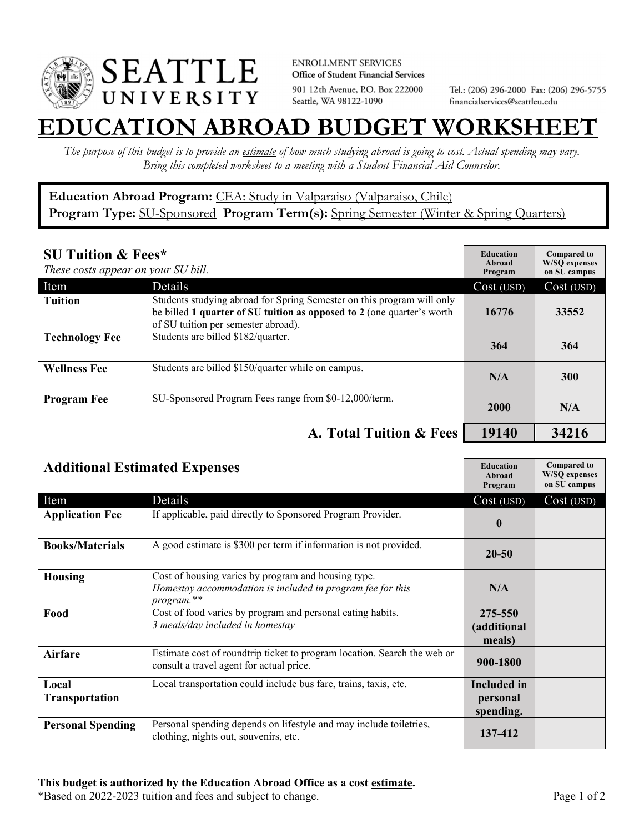

**ENROLLMENT SERVICES** Office of Student Financial Services 901 12th Avenue, P.O. Box 222000 Seattle, WA 98122-1090

Tel.: (206) 296-2000 Fax: (206) 296-5755 financialservices@seattleu.edu

## **EATION ABROAD BUDGET WORKSHEE**

*The purpose of this budget is to provide an estimate of how much studying abroad is going to cost. Actual spending may vary. Bring this completed worksheet to a meeting with a Student Financial Aid Counselor.* 

## **Education Abroad Program:** CEA: Study in Valparaiso (Valparaiso, Chile) Program Type: **SU-Sponsored** Program Term(s): **Spring Semester** (Winter & Spring Quarters)

| <b>SU Tuition &amp; Fees*</b><br>These costs appear on your SU bill. |                                                                                                                                                                                         | <b>Education</b><br>Abroad<br>Program | <b>Compared to</b><br><b>W/SO</b> expenses<br>on SU campus |
|----------------------------------------------------------------------|-----------------------------------------------------------------------------------------------------------------------------------------------------------------------------------------|---------------------------------------|------------------------------------------------------------|
| Item                                                                 | Details                                                                                                                                                                                 | Cost (USD)                            | Cost (USD)                                                 |
| <b>Tuition</b>                                                       | Students studying abroad for Spring Semester on this program will only<br>be billed 1 quarter of SU tuition as opposed to 2 (one quarter's worth<br>of SU tuition per semester abroad). | 16776                                 | 33552                                                      |
| <b>Technology Fee</b>                                                | Students are billed \$182/quarter.                                                                                                                                                      | 364                                   | 364                                                        |
| <b>Wellness Fee</b>                                                  | Students are billed \$150/quarter while on campus.                                                                                                                                      | N/A                                   | <b>300</b>                                                 |
| <b>Program Fee</b>                                                   | SU-Sponsored Program Fees range from \$0-12,000/term.                                                                                                                                   | 2000                                  | N/A                                                        |
|                                                                      | A. Total Tuition & Fees                                                                                                                                                                 | 19140                                 | 34216                                                      |

| <b>Additional Estimated Expenses</b> |                                                                                                                                 | <b>Education</b><br>Abroad<br>Program       | <b>Compared to</b><br><b>W/SQ</b> expenses<br>on SU campus |
|--------------------------------------|---------------------------------------------------------------------------------------------------------------------------------|---------------------------------------------|------------------------------------------------------------|
| Item                                 | Details                                                                                                                         | Cost (USD)                                  | $Cost$ (USD)                                               |
| <b>Application Fee</b>               | If applicable, paid directly to Sponsored Program Provider.                                                                     | $\mathbf{0}$                                |                                                            |
| <b>Books/Materials</b>               | A good estimate is \$300 per term if information is not provided.                                                               | $20 - 50$                                   |                                                            |
| <b>Housing</b>                       | Cost of housing varies by program and housing type.<br>Homestay accommodation is included in program fee for this<br>program.** | N/A                                         |                                                            |
| Food                                 | Cost of food varies by program and personal eating habits.<br>3 meals/day included in homestay                                  | 275-550<br>(additional<br>meals)            |                                                            |
| <b>Airfare</b>                       | Estimate cost of roundtrip ticket to program location. Search the web or<br>consult a travel agent for actual price.            | 900-1800                                    |                                                            |
| Local<br><b>Transportation</b>       | Local transportation could include bus fare, trains, taxis, etc.                                                                | <b>Included</b> in<br>personal<br>spending. |                                                            |
| <b>Personal Spending</b>             | Personal spending depends on lifestyle and may include toiletries,<br>clothing, nights out, souvenirs, etc.                     | 137-412                                     |                                                            |

\*Based on 2022-2023 tuition and fees and subject to change. Page 1 of 2